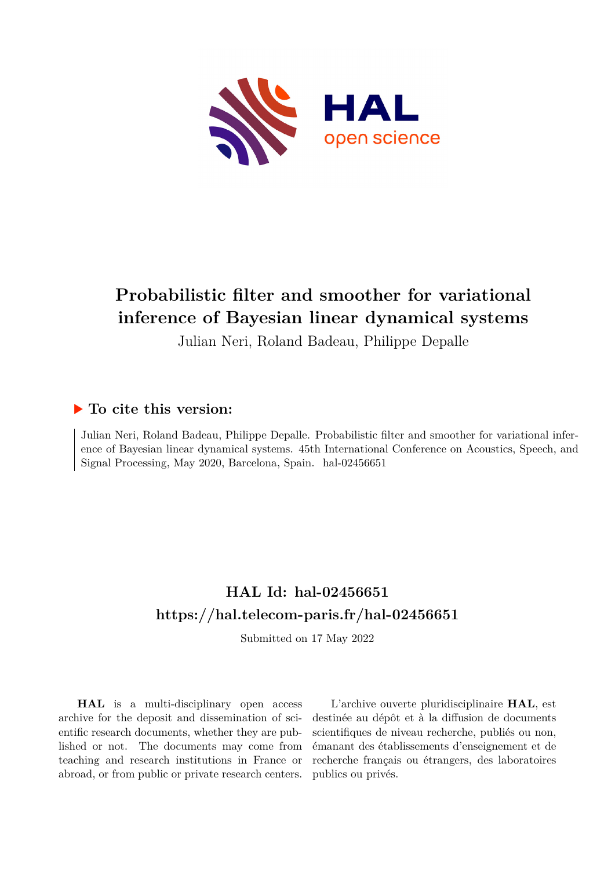

# **Probabilistic filter and smoother for variational inference of Bayesian linear dynamical systems**

Julian Neri, Roland Badeau, Philippe Depalle

### **To cite this version:**

Julian Neri, Roland Badeau, Philippe Depalle. Probabilistic filter and smoother for variational inference of Bayesian linear dynamical systems. 45th International Conference on Acoustics, Speech, and Signal Processing, May 2020, Barcelona, Spain. hal-02456651

## **HAL Id: hal-02456651 <https://hal.telecom-paris.fr/hal-02456651>**

Submitted on 17 May 2022

**HAL** is a multi-disciplinary open access archive for the deposit and dissemination of scientific research documents, whether they are published or not. The documents may come from teaching and research institutions in France or abroad, or from public or private research centers.

L'archive ouverte pluridisciplinaire **HAL**, est destinée au dépôt et à la diffusion de documents scientifiques de niveau recherche, publiés ou non, émanant des établissements d'enseignement et de recherche français ou étrangers, des laboratoires publics ou privés.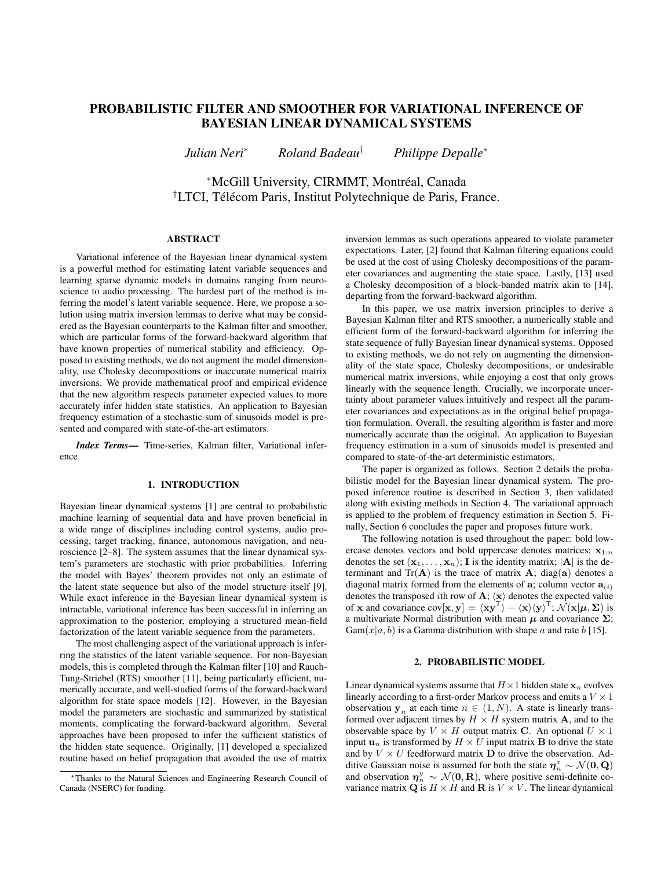### PROBABILISTIC FILTER AND SMOOTHER FOR VARIATIONAL INFERENCE OF BAYESIAN LINEAR DYNAMICAL SYSTEMS

*Julian Neri*<sup>∗</sup> *Roland Badeau*† *Philippe Depalle*<sup>∗</sup>

<sup>∗</sup>McGill University, CIRMMT, Montreal, Canada ´ <sup>†</sup>LTCI, Télécom Paris, Institut Polytechnique de Paris, France.

#### ABSTRACT

Variational inference of the Bayesian linear dynamical system is a powerful method for estimating latent variable sequences and learning sparse dynamic models in domains ranging from neuroscience to audio processing. The hardest part of the method is inferring the model's latent variable sequence. Here, we propose a solution using matrix inversion lemmas to derive what may be considered as the Bayesian counterparts to the Kalman filter and smoother, which are particular forms of the forward-backward algorithm that have known properties of numerical stability and efficiency. Opposed to existing methods, we do not augment the model dimensionality, use Cholesky decompositions or inaccurate numerical matrix inversions. We provide mathematical proof and empirical evidence that the new algorithm respects parameter expected values to more accurately infer hidden state statistics. An application to Bayesian frequency estimation of a stochastic sum of sinusoids model is presented and compared with state-of-the-art estimators.

*Index Terms*— Time-series, Kalman filter, Variational inference

#### 1. INTRODUCTION

Bayesian linear dynamical systems [1] are central to probabilistic machine learning of sequential data and have proven beneficial in a wide range of disciplines including control systems, audio processing, target tracking, finance, autonomous navigation, and neuroscience [2–8]. The system assumes that the linear dynamical system's parameters are stochastic with prior probabilities. Inferring the model with Bayes' theorem provides not only an estimate of the latent state sequence but also of the model structure itself [9]. While exact inference in the Bayesian linear dynamical system is intractable, variational inference has been successful in inferring an approximation to the posterior, employing a structured mean-field factorization of the latent variable sequence from the parameters.

The most challenging aspect of the variational approach is inferring the statistics of the latent variable sequence. For non-Bayesian models, this is completed through the Kalman filter [10] and Rauch-Tung-Striebel (RTS) smoother [11], being particularly efficient, numerically accurate, and well-studied forms of the forward-backward algorithm for state space models [12]. However, in the Bayesian model the parameters are stochastic and summarized by statistical moments, complicating the forward-backward algorithm. Several approaches have been proposed to infer the sufficient statistics of the hidden state sequence. Originally, [1] developed a specialized routine based on belief propagation that avoided the use of matrix

inversion lemmas as such operations appeared to violate parameter expectations. Later, [2] found that Kalman filtering equations could be used at the cost of using Cholesky decompositions of the parameter covariances and augmenting the state space. Lastly, [13] used a Cholesky decomposition of a block-banded matrix akin to [14], departing from the forward-backward algorithm.

In this paper, we use matrix inversion principles to derive a Bayesian Kalman filter and RTS smoother, a numerically stable and efficient form of the forward-backward algorithm for inferring the state sequence of fully Bayesian linear dynamical systems. Opposed to existing methods, we do not rely on augmenting the dimensionality of the state space, Cholesky decompositions, or undesirable numerical matrix inversions, while enjoying a cost that only grows linearly with the sequence length. Crucially, we incorporate uncertainty about parameter values intuitively and respect all the parameter covariances and expectations as in the original belief propagation formulation. Overall, the resulting algorithm is faster and more numerically accurate than the original. An application to Bayesian frequency estimation in a sum of sinusoids model is presented and compared to state-of-the-art deterministic estimators.

The paper is organized as follows. Section 2 details the probabilistic model for the Bayesian linear dynamical system. The proposed inference routine is described in Section 3, then validated along with existing methods in Section 4. The variational approach is applied to the problem of frequency estimation in Section 5. Finally, Section 6 concludes the paper and proposes future work.

The following notation is used throughout the paper: bold lowercase denotes vectors and bold uppercase denotes matrices;  $x_{1:n}$ denotes the set  $(x_1, \ldots, x_n)$ ; I is the identity matrix;  $|A|$  is the determinant and  $Tr(A)$  is the trace of matrix A; diag(a) denotes a diagonal matrix formed from the elements of  $a_i$ ; column vector  $a_{(i)}$ denotes the transposed *i*th row of  $\mathbf{A}; \langle \mathbf{x} \rangle$  denotes the expected value of x and covariance  $cov[\mathbf{x}, \mathbf{y}] = \langle \mathbf{x} \mathbf{y}^{\mathsf{T}} \rangle - \langle \mathbf{x} \rangle \langle \mathbf{y} \rangle^{\mathsf{T}}; \mathcal{N}(\mathbf{x} | \boldsymbol{\mu}, \boldsymbol{\Sigma})$  is a multivariate Normal distribution with mean  $\mu$  and covariance  $\Sigma$ ;  $Gam(x|a, b)$  is a Gamma distribution with shape a and rate b [15].

#### 2. PROBABILISTIC MODEL

Linear dynamical systems assume that  $H \times 1$  hidden state  $x_n$  evolves linearly according to a first-order Markov process and emits a  $V \times 1$ observation  $y_n$  at each time  $n \in (1, N)$ . A state is linearly transformed over adjacent times by  $H \times H$  system matrix **A**, and to the observable space by  $V \times H$  output matrix C. An optional  $U \times 1$ input  $\mathbf{u}_n$  is transformed by  $H \times U$  input matrix **B** to drive the state and by  $V \times U$  feedforward matrix **D** to drive the observation. Additive Gaussian noise is assumed for both the state  $\eta^x_n \sim \mathcal{N}(\mathbf{0}, \mathbf{Q})$ and observation  $\eta_n^y \sim \mathcal{N}(\mathbf{0}, \mathbf{R})$ , where positive semi-definite covariance matrix  ${\bf Q}$  is  $H \times H$  and  ${\bf R}$  is  $V \times V$ . The linear dynamical

<sup>∗</sup>Thanks to the Natural Sciences and Engineering Research Council of Canada (NSERC) for funding.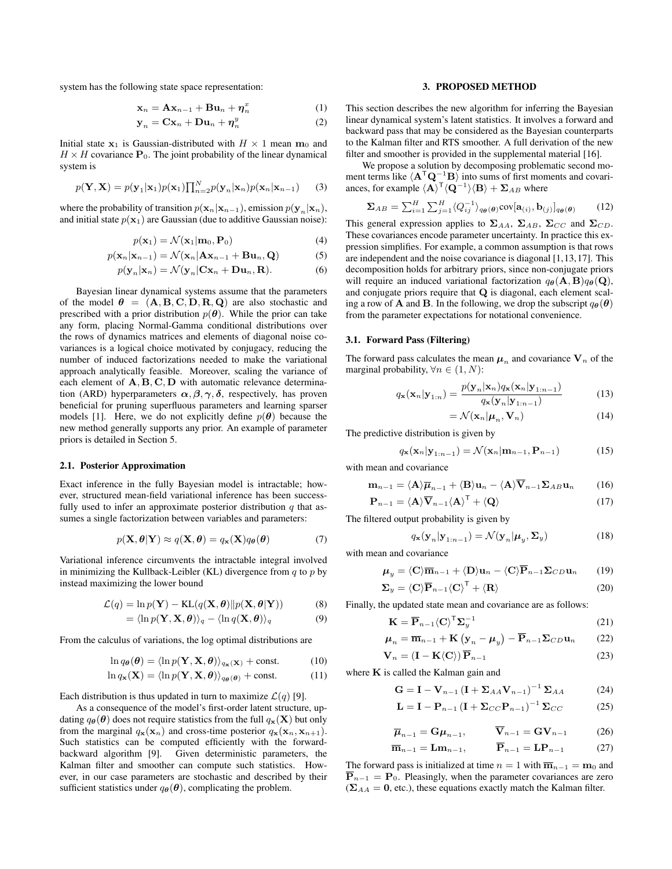system has the following state space representation:

$$
\mathbf{x}_n = \mathbf{A}\mathbf{x}_{n-1} + \mathbf{B}\mathbf{u}_n + \boldsymbol{\eta}_n^x \tag{1}
$$

$$
\mathbf{y}_n = \mathbf{C}\mathbf{x}_n + \mathbf{D}\mathbf{u}_n + \boldsymbol{\eta}_n^y \tag{2}
$$

Initial state  $x_1$  is Gaussian-distributed with  $H \times 1$  mean  $m_0$  and  $H \times H$  covariance  $\mathbf{P}_0$ . The joint probability of the linear dynamical system is

$$
p(\mathbf{Y}, \mathbf{X}) = p(\mathbf{y}_1 | \mathbf{x}_1) p(\mathbf{x}_1) \prod_{n=2}^{N} p(\mathbf{y}_n | \mathbf{x}_n) p(\mathbf{x}_n | \mathbf{x}_{n-1}) \qquad (3)
$$

where the probability of transition  $p(\mathbf{x}_n|\mathbf{x}_{n-1})$ , emission  $p(\mathbf{y}_n|\mathbf{x}_n)$ , and initial state  $p(\mathbf{x}_1)$  are Gaussian (due to additive Gaussian noise):

$$
p(\mathbf{x}_1) = \mathcal{N}(\mathbf{x}_1 | \mathbf{m}_0, \mathbf{P}_0)
$$
 (4)

$$
p(\mathbf{x}_n|\mathbf{x}_{n-1}) = \mathcal{N}(\mathbf{x}_n|\mathbf{A}\mathbf{x}_{n-1} + \mathbf{B}\mathbf{u}_n, \mathbf{Q})
$$
 (5)

$$
p(\mathbf{y}_n|\mathbf{x}_n) = \mathcal{N}(\mathbf{y}_n|\mathbf{C}\mathbf{x}_n + \mathbf{D}\mathbf{u}_n, \mathbf{R}).
$$
 (6)

Bayesian linear dynamical systems assume that the parameters of the model  $\theta = (A, B, C, D, R, Q)$  are also stochastic and prescribed with a prior distribution  $p(\theta)$ . While the prior can take any form, placing Normal-Gamma conditional distributions over the rows of dynamics matrices and elements of diagonal noise covariances is a logical choice motivated by conjugacy, reducing the number of induced factorizations needed to make the variational approach analytically feasible. Moreover, scaling the variance of each element of  $A, B, C, D$  with automatic relevance determination (ARD) hyperparameters  $\alpha$ ,  $\beta$ ,  $\gamma$ ,  $\delta$ , respectively, has proven beneficial for pruning superfluous parameters and learning sparser models [1]. Here, we do not explicitly define  $p(\theta)$  because the new method generally supports any prior. An example of parameter priors is detailed in Section 5.

#### 2.1. Posterior Approximation

Exact inference in the fully Bayesian model is intractable; however, structured mean-field variational inference has been successfully used to infer an approximate posterior distribution  $q$  that assumes a single factorization between variables and parameters:

$$
p(\mathbf{X}, \boldsymbol{\theta} | \mathbf{Y}) \approx q(\mathbf{X}, \boldsymbol{\theta}) = q_{\mathbf{x}}(\mathbf{X}) q_{\boldsymbol{\theta}}(\boldsymbol{\theta})
$$
(7)

Variational inference circumvents the intractable integral involved in minimizing the Kullback-Leibler (KL) divergence from  $q$  to  $p$  by instead maximizing the lower bound

$$
\mathcal{L}(q) = \ln p(\mathbf{Y}) - \text{KL}(q(\mathbf{X}, \boldsymbol{\theta}) || p(\mathbf{X}, \boldsymbol{\theta} | \mathbf{Y}))
$$
(8)

$$
= \langle \ln p(\mathbf{Y}, \mathbf{X}, \boldsymbol{\theta}) \rangle_q - \langle \ln q(\mathbf{X}, \boldsymbol{\theta}) \rangle_q \tag{9}
$$

From the calculus of variations, the log optimal distributions are

$$
\ln q_{\theta}(\boldsymbol{\theta}) = \langle \ln p(\mathbf{Y}, \mathbf{X}, \boldsymbol{\theta}) \rangle_{q_{\mathbf{x}}(\mathbf{X})} + \text{const.}
$$
 (10)

$$
\ln q_{\mathbf{x}}(\mathbf{X}) = \langle \ln p(\mathbf{Y}, \mathbf{X}, \boldsymbol{\theta}) \rangle_{q_{\boldsymbol{\theta}}(\boldsymbol{\theta})} + \text{const.}
$$
 (11)

Each distribution is thus updated in turn to maximize  $\mathcal{L}(q)$  [9].

As a consequence of the model's first-order latent structure, updating  $q_{\theta}(\theta)$  does not require statistics from the full  $q_{\mathbf{x}}(\mathbf{X})$  but only from the marginal  $q_{\mathbf{x}}(\mathbf{x}_n)$  and cross-time posterior  $q_{\mathbf{x}}(\mathbf{x}_n, \mathbf{x}_{n+1})$ . Such statistics can be computed efficiently with the forwardbackward algorithm [9]. Given deterministic parameters, the Kalman filter and smoother can compute such statistics. However, in our case parameters are stochastic and described by their sufficient statistics under  $q_{\theta}(\theta)$ , complicating the problem.

#### 3. PROPOSED METHOD

This section describes the new algorithm for inferring the Bayesian linear dynamical system's latent statistics. It involves a forward and backward pass that may be considered as the Bayesian counterparts to the Kalman filter and RTS smoother. A full derivation of the new filter and smoother is provided in the supplemental material [16].

We propose a solution by decomposing problematic second moment terms like  $\langle A^T Q^{-1}B \rangle$  into sums of first moments and covariances, for example  $\langle \mathbf{A} \rangle^{\mathsf{T}} \langle \mathbf{Q}^{-1} \rangle \langle \mathbf{B} \rangle + \mathbf{\Sigma}_{AB}$  where

$$
\Sigma_{AB} = \sum_{i=1}^{H} \sum_{j=1}^{H} \langle Q_{ij}^{-1} \rangle_{q_{\theta}(\theta)} \text{cov}[\mathbf{a}_{(i)}, \mathbf{b}_{(j)}]_{q_{\theta}(\theta)} \qquad (12)
$$

This general expression applies to  $\Sigma_{AA}$ ,  $\Sigma_{AB}$ ,  $\Sigma_{CC}$  and  $\Sigma_{CD}$ . These covariances encode parameter uncertainty. In practice this expression simplifies. For example, a common assumption is that rows are independent and the noise covariance is diagonal [1,13,17]. This decomposition holds for arbitrary priors, since non-conjugate priors will require an induced variational factorization  $q_{\theta}(\mathbf{A}, \mathbf{B})q_{\theta}(\mathbf{Q}),$ and conjugate priors require that Q is diagonal, each element scaling a row of **A** and **B**. In the following, we drop the subscript  $q_{\theta}(\theta)$ from the parameter expectations for notational convenience.

#### 3.1. Forward Pass (Filtering)

The forward pass calculates the mean  $\mu_n$  and covariance  $V_n$  of the marginal probability,  $\forall n \in (1, N)$ :

$$
q_{\mathbf{x}}(\mathbf{x}_n|\mathbf{y}_{1:n}) = \frac{p(\mathbf{y}_n|\mathbf{x}_n)q_{\mathbf{x}}(\mathbf{x}_n|\mathbf{y}_{1:n-1})}{q_{\mathbf{x}}(\mathbf{y}_n|\mathbf{y}_{1:n-1})}
$$
(13)

$$
= \mathcal{N}(\mathbf{x}_n | \boldsymbol{\mu}_n, \mathbf{V}_n)
$$
 (14)

The predictive distribution is given by

$$
q_{\mathbf{x}}(\mathbf{x}_n|\mathbf{y}_{1:n-1}) = \mathcal{N}(\mathbf{x}_n|\mathbf{m}_{n-1}, \mathbf{P}_{n-1})
$$
 (15)  
with mean and covariance

$$
\mathbf{m}_{n-1} = \langle \mathbf{A} \rangle \overline{\boldsymbol{\mu}}_{n-1} + \langle \mathbf{B} \rangle \mathbf{u}_n - \langle \mathbf{A} \rangle \overline{\mathbf{V}}_{n-1} \boldsymbol{\Sigma}_{AB} \mathbf{u}_n \qquad (16)
$$

$$
\mathbf{P}_{n-1} = \langle \mathbf{A} \rangle \overline{\mathbf{V}}_{n-1} \langle \mathbf{A} \rangle^{\mathsf{T}} + \langle \mathbf{Q} \rangle \tag{17}
$$

The filtered output probability is given by

$$
q_{\mathbf{x}}(\mathbf{y}_n|\mathbf{y}_{1:n-1}) = \mathcal{N}(\mathbf{y}_n|\boldsymbol{\mu}_y, \boldsymbol{\Sigma}_y)
$$
(18)

with mean and covariance

$$
\boldsymbol{\mu}_y = \langle \mathbf{C} \rangle \overline{\mathbf{m}}_{n-1} + \langle \mathbf{D} \rangle \mathbf{u}_n - \langle \mathbf{C} \rangle \overline{\mathbf{P}}_{n-1} \boldsymbol{\Sigma}_{CD} \mathbf{u}_n \qquad (19)
$$

$$
\Sigma_y = \langle \mathbf{C} \rangle \overline{\mathbf{P}}_{n-1} \langle \mathbf{C} \rangle^{\mathsf{T}} + \langle \mathbf{R} \rangle \tag{20}
$$

Finally, the updated state mean and covariance are as follows:

$$
\mathbf{K} = \overline{\mathbf{P}}_{n-1} \langle \mathbf{C} \rangle^{\mathsf{T}} \mathbf{\Sigma}_y^{-1} \tag{21}
$$

$$
\boldsymbol{\mu}_n = \overline{\mathbf{m}}_{n-1} + \mathbf{K} \left( \mathbf{y}_n - \boldsymbol{\mu}_y \right) - \overline{\mathbf{P}}_{n-1} \boldsymbol{\Sigma}_{CD} \mathbf{u}_n \qquad (22)
$$

$$
\mathbf{V}_n = (\mathbf{I} - \mathbf{K} \langle \mathbf{C} \rangle) \, \mathbf{P}_{n-1} \tag{23}
$$

where  $K$  is called the Kalman gain and

$$
\mathbf{G} = \mathbf{I} - \mathbf{V}_{n-1} \left( \mathbf{I} + \mathbf{\Sigma}_{AA} \mathbf{V}_{n-1} \right)^{-1} \mathbf{\Sigma}_{AA} \tag{24}
$$

$$
\mathbf{L} = \mathbf{I} - \mathbf{P}_{n-1} \left( \mathbf{I} + \mathbf{\Sigma}_{CC} \mathbf{P}_{n-1} \right)^{-1} \mathbf{\Sigma}_{CC} \tag{25}
$$

$$
\overline{\boldsymbol{\mu}}_{n-1} = \mathbf{G} \boldsymbol{\mu}_{n-1}, \qquad \overline{\mathbf{V}}_{n-1} = \mathbf{G} \mathbf{V}_{n-1} \tag{26}
$$

$$
\overline{\mathbf{m}}_{n-1} = \mathbf{L}\mathbf{m}_{n-1}, \qquad \overline{\mathbf{P}}_{n-1} = \mathbf{L}\mathbf{P}_{n-1} \tag{27}
$$

The forward pass is initialized at time  $n = 1$  with  $\overline{\mathbf{m}}_{n-1} = \mathbf{m}_0$  and  $\overline{\mathbf{P}}_{n-1} = \mathbf{P}_0$ . Pleasingly, when the parameter covariances are zero  $(\Sigma_{AA} = 0,$  etc.), these equations exactly match the Kalman filter.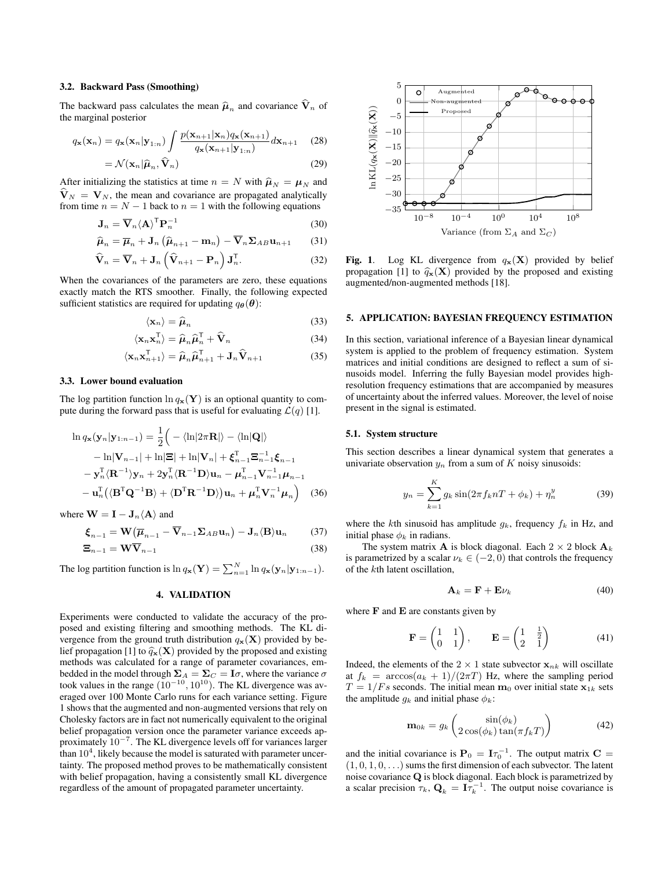#### 3.2. Backward Pass (Smoothing)

The backward pass calculates the mean  $\hat{\mu}_n$  and covariance  $\hat{\mathbf{V}}_n$  of the marginal posterior

$$
q_{\mathbf{x}}(\mathbf{x}_n) = q_{\mathbf{x}}(\mathbf{x}_n | \mathbf{y}_{1:n}) \int \frac{p(\mathbf{x}_{n+1} | \mathbf{x}_n) q_{\mathbf{x}}(\mathbf{x}_{n+1})}{q_{\mathbf{x}}(\mathbf{x}_{n+1} | \mathbf{y}_{1:n})} d\mathbf{x}_{n+1}
$$
 (28)

$$
= \mathcal{N}(\mathbf{x}_n | \widehat{\boldsymbol{\mu}}_n, \widehat{\mathbf{V}}_n)
$$
 (29)

After initializing the statistics at time  $n = N$  with  $\hat{\mu}_N = \mu_N$  and  $\hat{\mathbf{V}}_N = \mathbf{V}_N$ , the mean and covariance are propagated analytically from time  $n = N - 1$  back to  $n = 1$  with the following equations

$$
\mathbf{J}_n = \overline{\mathbf{V}}_n \langle \mathbf{A} \rangle^{\mathsf{T}} \mathbf{P}_n^{-1}
$$
 (30)

$$
\widehat{\boldsymbol{\mu}}_n = \overline{\boldsymbol{\mu}}_n + \mathbf{J}_n \left( \widehat{\boldsymbol{\mu}}_{n+1} - \mathbf{m}_n \right) - \overline{\mathbf{V}}_n \boldsymbol{\Sigma}_{AB} \mathbf{u}_{n+1} \tag{31}
$$

$$
\widehat{\mathbf{V}}_n = \overline{\mathbf{V}}_n + \mathbf{J}_n \left( \widehat{\mathbf{V}}_{n+1} - \mathbf{P}_n \right) \mathbf{J}_n^{\mathsf{T}}.
$$
 (32)

When the covariances of the parameters are zero, these equations exactly match the RTS smoother. Finally, the following expected sufficient statistics are required for updating  $q_{\theta}(\theta)$ :

$$
\langle \mathbf{x}_n \rangle = \hat{\boldsymbol{\mu}}_n \tag{33}
$$

$$
\langle \mathbf{x}_n \mathbf{x}_n^{\mathsf{T}} \rangle = \widehat{\boldsymbol{\mu}}_n \widehat{\boldsymbol{\mu}}_n^{\mathsf{T}} + \widehat{\mathbf{V}}_n \tag{34}
$$

$$
\langle \mathbf{x}_n \mathbf{x}_{n+1}^{\mathsf{T}} \rangle = \widehat{\boldsymbol{\mu}}_n \widehat{\boldsymbol{\mu}}_{n+1}^{\mathsf{T}} + \mathbf{J}_n \widehat{\mathbf{V}}_{n+1}
$$
(35)

#### 3.3. Lower bound evaluation

The log partition function  $\ln q_{\mathbf{x}}(\mathbf{Y})$  is an optional quantity to compute during the forward pass that is useful for evaluating  $\mathcal{L}(q)$  [1].

$$
\ln q_{\mathbf{x}}(\mathbf{y}_n|\mathbf{y}_{1:n-1}) = \frac{1}{2} \Big( -\langle \ln|2\pi \mathbf{R}| \rangle - \langle \ln|\mathbf{Q}| \rangle \n- \ln|\mathbf{V}_{n-1}| + \ln|\mathbf{\Xi}| + \ln|\mathbf{V}_n| + \boldsymbol{\xi}_{n-1}^{\mathrm{T}} \boldsymbol{\Xi}_{n-1}^{-1} \boldsymbol{\xi}_{n-1} \n- \mathbf{y}_n^{\mathrm{T}} \langle \mathbf{R}^{-1} \rangle \mathbf{y}_n + 2\mathbf{y}_n^{\mathrm{T}} \langle \mathbf{R}^{-1} \mathbf{D} \rangle \mathbf{u}_n - \boldsymbol{\mu}_{n-1}^{\mathrm{T}} \mathbf{V}_{n-1}^{-1} \boldsymbol{\mu}_{n-1} \n- \mathbf{u}_n^{\mathrm{T}} \big( \langle \mathbf{B}^{\mathrm{T}} \mathbf{Q}^{-1} \mathbf{B} \rangle + \langle \mathbf{D}^{\mathrm{T}} \mathbf{R}^{-1} \mathbf{D} \rangle \big) \mathbf{u}_n + \boldsymbol{\mu}_n^{\mathrm{T}} \mathbf{V}_n^{-1} \boldsymbol{\mu}_n \Big) \tag{36}
$$

where  $\mathbf{W} = \mathbf{I} - \mathbf{J}_n \langle \mathbf{A} \rangle$  and

$$
\boldsymbol{\xi}_{n-1} = \mathbf{W} \big( \overline{\boldsymbol{\mu}}_{n-1} - \overline{\mathbf{V}}_{n-1} \boldsymbol{\Sigma}_{AB} \mathbf{u}_n \big) - \mathbf{J}_n \langle \mathbf{B} \rangle \mathbf{u}_n \qquad (37)
$$

$$
\Xi_{n-1} = \mathbf{W}\overline{\mathbf{V}}_{n-1} \tag{38}
$$

The log partition function is  $\ln q_{\mathbf{x}}(\mathbf{Y}) = \sum_{n=1}^{N} \ln q_{\mathbf{x}}(\mathbf{y}_n | \mathbf{y}_{1:n-1}).$ 

#### 4. VALIDATION

Experiments were conducted to validate the accuracy of the proposed and existing filtering and smoothing methods. The KL divergence from the ground truth distribution  $q_{\mathbf{x}}(\mathbf{X})$  provided by belief propagation [1] to  $\hat{q}_{\mathbf{x}}(\mathbf{X})$  provided by the proposed and existing methods was calculated for a range of parameter covariances, embedded in the model through  $\Sigma_A = \Sigma_C = I\sigma$ , where the variance  $\sigma$ took values in the range  $(10^{-10}, 10^{10})$ . The KL divergence was averaged over 100 Monte Carlo runs for each variance setting. Figure 1 shows that the augmented and non-augmented versions that rely on Cholesky factors are in fact not numerically equivalent to the original belief propagation version once the parameter variance exceeds approximately  $10^{-7}$ . The KL divergence levels off for variances larger than  $10^4$ , likely because the model is saturated with parameter uncertainty. The proposed method proves to be mathematically consistent with belief propagation, having a consistently small KL divergence regardless of the amount of propagated parameter uncertainty.



Fig. 1. Log KL divergence from  $q_x(\mathbf{X})$  provided by belief propagation [1] to  $\hat{q}_{\mathbf{x}}(\mathbf{X})$  provided by the proposed and existing augmented/non-augmented methods [18].

#### 5. APPLICATION: BAYESIAN FREQUENCY ESTIMATION

In this section, variational inference of a Bayesian linear dynamical system is applied to the problem of frequency estimation. System matrices and initial conditions are designed to reflect a sum of sinusoids model. Inferring the fully Bayesian model provides highresolution frequency estimations that are accompanied by measures of uncertainty about the inferred values. Moreover, the level of noise present in the signal is estimated.

#### 5.1. System structure

This section describes a linear dynamical system that generates a univariate observation  $y_n$  from a sum of K noisy sinusoids:

$$
y_n = \sum_{k=1}^{K} g_k \sin(2\pi f_k nT + \phi_k) + \eta_n^y
$$
 (39)

where the kth sinusoid has amplitude  $g_k$ , frequency  $f_k$  in Hz, and initial phase  $\phi_k$  in radians.

The system matrix **A** is block diagonal. Each  $2 \times 2$  block  $\mathbf{A}_k$ is parametrized by a scalar  $\nu_k \in (-2,0)$  that controls the frequency of the kth latent oscillation,

$$
\mathbf{A}_k = \mathbf{F} + \mathbf{E}\nu_k \tag{40}
$$

where  $\bf{F}$  and  $\bf{E}$  are constants given by

$$
\mathbf{F} = \begin{pmatrix} 1 & 1 \\ 0 & 1 \end{pmatrix}, \qquad \mathbf{E} = \begin{pmatrix} 1 & \frac{1}{2} \\ 2 & 1 \end{pmatrix} \tag{41}
$$

Indeed, the elements of the  $2 \times 1$  state subvector  $x_{nk}$  will oscillate at  $f_k = \arccos(a_k + 1)/(2\pi T)$  Hz, where the sampling period  $T = 1/Fs$  seconds. The initial mean  $m_0$  over initial state  $x_{1k}$  sets the amplitude  $g_k$  and initial phase  $\phi_k$ :

$$
\mathbf{m}_{0k} = g_k \begin{pmatrix} \sin(\phi_k) \\ 2\cos(\phi_k)\tan(\pi f_k T) \end{pmatrix}
$$
 (42)

and the initial covariance is  $P_0 = I \tau_0^{-1}$ . The output matrix  $C =$  $(1, 0, 1, 0, \ldots)$  sums the first dimension of each subvector. The latent noise covariance  ${\bf Q}$  is block diagonal. Each block is parametrized by a scalar precision  $\tau_k$ ,  $\mathbf{Q}_k = \mathbf{I} \tau_k^{-1}$ . The output noise covariance is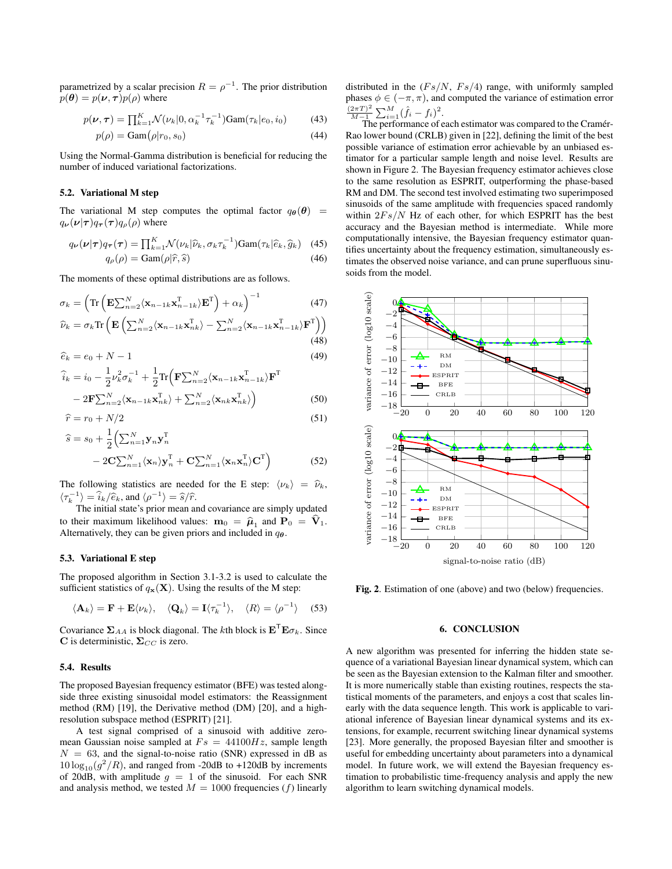parametrized by a scalar precision  $R = \rho^{-1}$ . The prior distribution  $p(\theta) = p(\nu, \tau) p(\rho)$  where

$$
p(\nu, \tau) = \prod_{k=1}^{K} \mathcal{N}(\nu_k | 0, \alpha_k^{-1} \tau_k^{-1}) \text{Gam}(\tau_k | e_0, i_0)
$$
 (43)

$$
p(\rho) = \text{Gam}(\rho | r_0, s_0) \tag{44}
$$

Using the Normal-Gamma distribution is beneficial for reducing the number of induced variational factorizations.

#### 5.2. Variational M step

The variational M step computes the optimal factor  $q_{\theta}(\theta)$  =  $q_{\nu}(\nu|\tau)q_{\tau}(\tau)q_{\rho}(\rho)$  where

$$
q_{\nu}(\nu|\tau)q_{\tau}(\tau) = \prod_{k=1}^{K} \mathcal{N}(\nu_k|\widehat{\nu}_k, \sigma_k \tau_k^{-1}) \text{Gam}(\tau_k|\widehat{e}_k, \widehat{g}_k)
$$
 (45)  

$$
q_{\rho}(\rho) = \text{Gam}(\rho|\widehat{r}, \widehat{s})
$$
 (46)

The moments of these optimal distributions are as follows.

$$
\sigma_k = \left( \text{Tr} \left( \mathbf{E} \sum_{n=2}^N \langle \mathbf{x}_{n-1k} \mathbf{x}_{n-1k}^{\mathrm{T}} \rangle \mathbf{E}^{\mathrm{T}} \right) + \alpha_k \right)^{-1} \tag{47}
$$

$$
\widehat{\nu}_k = \sigma_k \text{Tr} \left( \mathbf{E} \left( \sum_{n=2}^N \langle \mathbf{x}_{n-1k} \mathbf{x}_{nk}^{\text{T}} \rangle - \sum_{n=2}^N \langle \mathbf{x}_{n-1k} \mathbf{x}_{n-1k}^{\text{T}} \rangle \mathbf{F}^{\text{T}} \right) \right)
$$
\n(48)

$$
\widehat{e}_k = e_0 + N - 1\tag{49}
$$

$$
\widehat{i}_k = i_0 - \frac{1}{2} \nu_k^2 \sigma_k^{-1} + \frac{1}{2} \text{Tr} \left( \mathbf{F} \sum_{n=2}^N \langle \mathbf{x}_{n-1k} \mathbf{x}_{n-1k}^{\mathrm{T}} \rangle \mathbf{F}^{\mathrm{T}} - 2 \mathbf{F} \sum_{n=2}^N \langle \mathbf{x}_{n-1k} \mathbf{x}_{nk}^{\mathrm{T}} \rangle + \sum_{n=2}^N \langle \mathbf{x}_{nk} \mathbf{x}_{nk}^{\mathrm{T}} \rangle \right)
$$
\n(50)

$$
\hat{r} = r_0 + N/2 \tag{51}
$$

$$
\widehat{s} = s_0 + \frac{1}{2} \left( \sum_{n=1}^N \mathbf{y}_n \mathbf{y}_n^{\mathrm{T}} - 2 \mathbf{C} \sum_{n=1}^N \langle \mathbf{x}_n \rangle \mathbf{y}_n^{\mathrm{T}} + \mathbf{C} \sum_{n=1}^N \langle \mathbf{x}_n \mathbf{x}_n^{\mathrm{T}} \rangle \mathbf{C}^{\mathrm{T}} \right)
$$
(52)

The following statistics are needed for the E step:  $\langle \nu_k \rangle = \hat{\nu}_k$ ,  $\langle \tau_k^{-1} \rangle = \hat{i}_k / \hat{e}_k$ , and  $\langle \rho^{-1} \rangle = \hat{s}/\hat{r}$ .<br>The initial state's prior mean at

The initial state's prior mean and covariance are simply updated to their maximum likelihood values:  $\mathbf{m}_0 = \hat{\boldsymbol{\mu}}_1$  and  $\mathbf{P}_0 = \mathbf{V}_1$ .<br>Alternatively they can be given priors and included in  $a_2$ . Alternatively, they can be given priors and included in  $q_{\theta}$ .

#### 5.3. Variational E step

The proposed algorithm in Section 3.1-3.2 is used to calculate the sufficient statistics of  $q_{\mathbf{x}}(\mathbf{X})$ . Using the results of the M step:

$$
\langle \mathbf{A}_k \rangle = \mathbf{F} + \mathbf{E} \langle \nu_k \rangle, \quad \langle \mathbf{Q}_k \rangle = \mathbf{I} \langle \tau_k^{-1} \rangle, \quad \langle R \rangle = \langle \rho^{-1} \rangle \quad (53)
$$

Covariance  $\Sigma_{AA}$  is block diagonal. The *k*th block is  $\mathbf{E}^{\mathsf{T}}\mathbf{E}\sigma_k$ . Since C is deterministic,  $\Sigma_{CC}$  is zero.

#### 5.4. Results

The proposed Bayesian frequency estimator (BFE) was tested alongside three existing sinusoidal model estimators: the Reassignment method (RM) [19], the Derivative method (DM) [20], and a highresolution subspace method (ESPRIT) [21].

A test signal comprised of a sinusoid with additive zeromean Gaussian noise sampled at  $Fs = 44100Hz$ , sample length  $N = 63$ , and the signal-to-noise ratio (SNR) expressed in dB as  $10 \log_{10}(g^2/R)$ , and ranged from -20dB to +120dB by increments of 20dB, with amplitude  $g = 1$  of the sinusoid. For each SNR and analysis method, we tested  $M = 1000$  frequencies (f) linearly

distributed in the  $(Fs/N, Fs/4)$  range, with uniformly sampled phases  $\phi \in (-\pi, \pi)$ , and computed the variance of estimation error  $(2\pi T)^2$  $\frac{(2\pi T)^2}{M-1} \sum_{i=1}^M (\hat{f}_i - f_i)^2$ .

The performance of each estimator was compared to the Cramér-Rao lower bound (CRLB) given in [22], defining the limit of the best possible variance of estimation error achievable by an unbiased estimator for a particular sample length and noise level. Results are shown in Figure 2. The Bayesian frequency estimator achieves close to the same resolution as ESPRIT, outperforming the phase-based RM and DM. The second test involved estimating two superimposed sinusoids of the same amplitude with frequencies spaced randomly within  $2Fs/N$  Hz of each other, for which ESPRIT has the best accuracy and the Bayesian method is intermediate. While more computationally intensive, the Bayesian frequency estimator quantifies uncertainty about the frequency estimation, simultaneously estimates the observed noise variance, and can prune superfluous sinusoids from the model.



Fig. 2. Estimation of one (above) and two (below) frequencies.

#### 6. CONCLUSION

A new algorithm was presented for inferring the hidden state sequence of a variational Bayesian linear dynamical system, which can be seen as the Bayesian extension to the Kalman filter and smoother. It is more numerically stable than existing routines, respects the statistical moments of the parameters, and enjoys a cost that scales linearly with the data sequence length. This work is applicable to variational inference of Bayesian linear dynamical systems and its extensions, for example, recurrent switching linear dynamical systems [23]. More generally, the proposed Bayesian filter and smoother is useful for embedding uncertainty about parameters into a dynamical model. In future work, we will extend the Bayesian frequency estimation to probabilistic time-frequency analysis and apply the new algorithm to learn switching dynamical models.